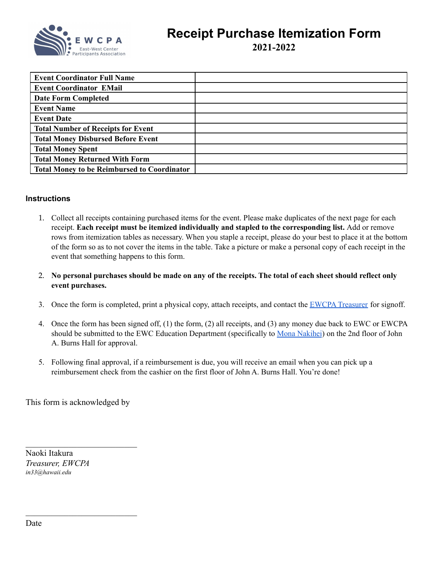

**2021-2022**

| <b>Event Coordinator Full Name</b>                 |  |
|----------------------------------------------------|--|
| <b>Event Coordinator EMail</b>                     |  |
| <b>Date Form Completed</b>                         |  |
| <b>Event Name</b>                                  |  |
| <b>Event Date</b>                                  |  |
| <b>Total Number of Receipts for Event</b>          |  |
| <b>Total Money Disbursed Before Event</b>          |  |
| <b>Total Money Spent</b>                           |  |
| <b>Total Money Returned With Form</b>              |  |
| <b>Total Money to be Reimbursed to Coordinator</b> |  |

## **Instructions**

- 1. Collect all receipts containing purchased items for the event. Please make duplicates of the next page for each receipt. **Each receipt must be itemized individually and stapled to the corresponding list.** Add or remove rows from itemization tables as necessary. When you staple a receipt, please do your best to place it at the bottom of the form so as to not cover the items in the table. Take a picture or make a personal copy of each receipt in the event that something happens to this form.
- 2. No personal purchases should be made on any of the receipts. The total of each sheet should reflect only **event purchases.**
- 3. Once the form is completed, print a physical copy, attach receipts, and contact the EWCPA [Treasurer](mailto:in33@hawaii.edu) for signoff.
- 4. Once the form has been signed off, (1) the form, (2) all receipts, and (3) any money due back to EWC or EWCPA should be submitted to the EWC Education Department (specifically to Mona [Nakihei](mailto:NakiheiM@eastwestcenter.org)) on the 2nd floor of John A. Burns Hall for approval.
- 5. Following final approval, if a reimbursement is due, you will receive an email when you can pick up a reimbursement check from the cashier on the first floor of John A. Burns Hall. You're done!

This form is acknowledged by

 $\mathcal{L}_\text{max}$ 

 $\mathcal{L}_\text{max}$ 

Naoki Itakura *Treasurer, EWCPA in33@hawaii.edu*